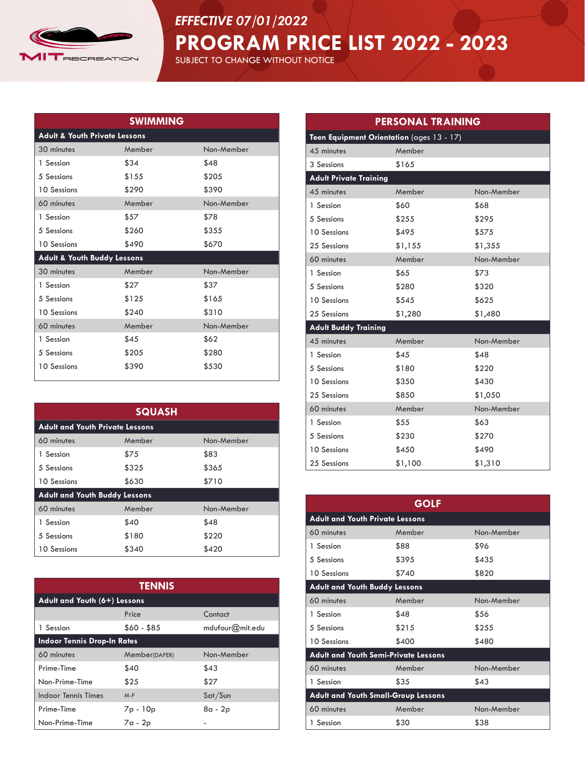

## *EFFECTIVE 07/01/2022*

**PROGRAM PRICE LIST 2022 - 2023**

SUBJECT TO CHANGE WITHOUT NOTICE

| <b>SWIMMING</b>                          |        |            |
|------------------------------------------|--------|------------|
| <b>Adult &amp; Youth Private Lessons</b> |        |            |
| 30 minutes                               | Member | Non-Member |
| 1 Session                                | \$34   | \$48       |
| 5 Sessions                               | \$155  | \$205      |
| 10 Sessions                              | \$290  | \$390      |
| 60 minutes                               | Member | Non-Member |
| 1 Session                                | \$57   | \$78       |
| 5 Sessions                               | \$260  | \$355      |
| 10 Sessions                              | \$490  | \$670      |
| Adult & Youth Buddy Lessons              |        |            |
| 30 minutes                               | Member | Non-Member |
| 1 Session                                | \$27   | \$37       |
| 5 Sessions                               | \$125  | \$165      |
| 10 Sessions                              | \$240  | \$310      |
| 60 minutes                               | Member | Non-Member |
| 1 Session                                | \$45   | \$62       |
| 5 Sessions                               | \$205  | \$280      |
| 10 Sessions                              | \$390  | \$530      |

| <b>SQUASH</b>                          |        |            |
|----------------------------------------|--------|------------|
| <b>Adult and Youth Private Lessons</b> |        |            |
| 60 minutes                             | Member | Non-Member |
| 1 Session                              | \$75   | \$83       |
| 5 Sessions                             | \$325  | \$365      |
| 10 Sessions                            | \$630  | \$710      |
| <b>Adult and Youth Buddy Lessons</b>   |        |            |
| 60 minutes                             | Member | Non-Member |
| 1 Session                              | \$40   | \$48       |
| 5 Sessions                             | \$180  | \$220      |
| 10 Sessions                            | \$340  | \$420      |

| <b>TENNIS</b>                      |               |                 |
|------------------------------------|---------------|-----------------|
| Adult and Youth (6+) Lessons       |               |                 |
|                                    | Price         | Contact         |
| 1 Session                          | $$60 - $85$   | mdufour@mit.edu |
| <b>Indoor Tennis Drop-In Rates</b> |               |                 |
| 60 minutes                         | Member(DAPER) | Non-Member      |
| Prime-Time                         | \$40          | \$43            |
| Non-Prime-Time                     | \$25          | \$27            |
| <b>Indoor Tennis Times</b>         | $M-F$         | Sat/Sun         |
| Prime-Time                         | 7p - 10p      | 8a - 2p         |
| Non-Prime-Time                     | $7a - 2p$     |                 |

| <b>PERSONAL TRAINING</b>                  |         |            |
|-------------------------------------------|---------|------------|
| Teen Equipment Orientation (ages 13 - 17) |         |            |
| 45 minutes                                | Member  |            |
| 3 Sessions                                | \$165   |            |
| <b>Adult Private Training</b>             |         |            |
| 45 minutes                                | Member  | Non-Member |
| 1 Session                                 | \$60    | \$68       |
| 5 Sessions                                | \$255   | \$295      |
| 10 Sessions                               | \$495   | \$575      |
| 25 Sessions                               | \$1,155 | \$1,355    |
| 60 minutes                                | Member  | Non-Member |
| 1 Session                                 | \$65    | \$73       |
| 5 Sessions                                | \$280   | \$320      |
| 10 Sessions                               | \$545   | \$625      |
| 25 Sessions                               | \$1,280 | \$1,480    |
| <b>Adult Buddy Training</b>               |         |            |
| 45 minutes                                | Member  | Non-Member |
| 1 Session                                 | \$45    | \$48       |
| 5 Sessions                                | \$180   | \$220      |
| 10 Sessions                               | \$350   | \$430      |
| 25 Sessions                               | \$850   | \$1,050    |
| 60 minutes                                | Member  | Non-Member |
| 1 Session                                 | \$55    | \$63       |
| 5 Sessions                                | \$230   | \$270      |
| 10 Sessions                               | \$450   | \$490      |
| 25 Sessions                               | \$1,100 | \$1,310    |

|                                             | <b>GOLF</b> |            |
|---------------------------------------------|-------------|------------|
| <b>Adult and Youth Private Lessons</b>      |             |            |
| 60 minutes                                  | Member      | Non-Member |
| 1 Session                                   | \$88        | \$96       |
| 5 Sessions                                  | \$395       | \$435      |
| 10 Sessions                                 | \$740       | \$820      |
| <b>Adult and Youth Buddy Lessons</b>        |             |            |
| 60 minutes                                  | Member      | Non-Member |
| 1 Session                                   | \$48        | \$56       |
| 5 Sessions                                  | \$215       | \$255      |
| <b>10 Sessions</b>                          | \$400       | \$480      |
| <b>Adult and Youth Semi-Private Lessons</b> |             |            |
| 60 minutes                                  | Member      | Non-Member |
| 1 Session                                   | \$35        | \$43       |
| <b>Adult and Youth Small-Group Lessons</b>  |             |            |
| 60 minutes                                  | Member      | Non-Member |
| 1 Session                                   | \$30        | \$38       |